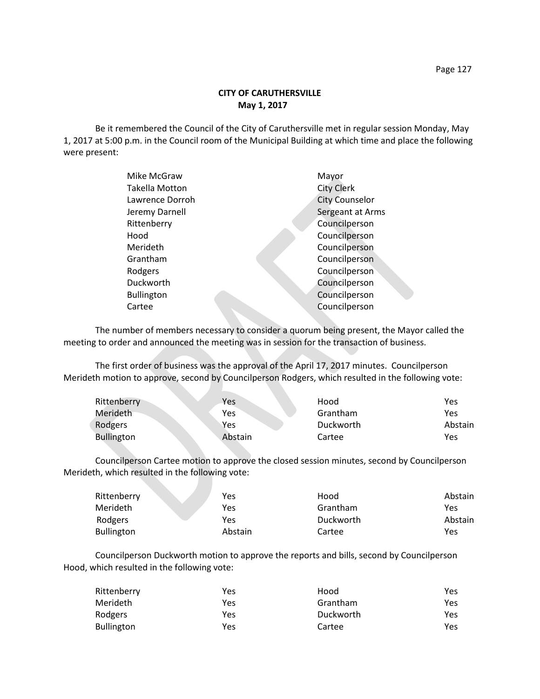Be it remembered the Council of the City of Caruthersville met in regular session Monday, May 1, 2017 at 5:00 p.m. in the Council room of the Municipal Building at which time and place the following were present:

| Mike McGraw           | Mayor                 |
|-----------------------|-----------------------|
| <b>Takella Motton</b> | <b>City Clerk</b>     |
| Lawrence Dorroh       | <b>City Counselor</b> |
| Jeremy Darnell        | Sergeant at Arms      |
| Rittenberry           | Councilperson         |
| Hood                  | Councilperson         |
| Merideth              | Councilperson         |
| Grantham              | Councilperson         |
| Rodgers               | Councilperson         |
| Duckworth             | Councilperson         |
| <b>Bullington</b>     | Councilperson         |
| Cartee                | Councilperson         |
|                       |                       |

The number of members necessary to consider a quorum being present, the Mayor called the meeting to order and announced the meeting was in session for the transaction of business.

The first order of business was the approval of the April 17, 2017 minutes. Councilperson Merideth motion to approve, second by Councilperson Rodgers, which resulted in the following vote:

| Rittenberry       | Yes     | Hood      | Yes     |
|-------------------|---------|-----------|---------|
| Merideth          | Yes     | Grantham  | Yes     |
| Rodgers           | Yes     | Duckworth | Abstain |
| <b>Bullington</b> | Abstain | Cartee    | Yes     |

Councilperson Cartee motion to approve the closed session minutes, second by Councilperson Merideth, which resulted in the following vote:

| Rittenberry       | Yes     | Hood      | Abstain |
|-------------------|---------|-----------|---------|
| <b>Merideth</b>   | Yes     | Grantham  | Yes     |
| Rodgers           | Yes     | Duckworth | Abstain |
| <b>Bullington</b> | Abstain | Cartee    | Yes     |

Councilperson Duckworth motion to approve the reports and bills, second by Councilperson Hood, which resulted in the following vote:

| Rittenberry | Yes | Hood      | Yes. |
|-------------|-----|-----------|------|
| Merideth    | Yes | Grantham  | Yes  |
| Rodgers     | Yes | Duckworth | Yes  |
| Bullington  | Yes | Cartee    | Yes. |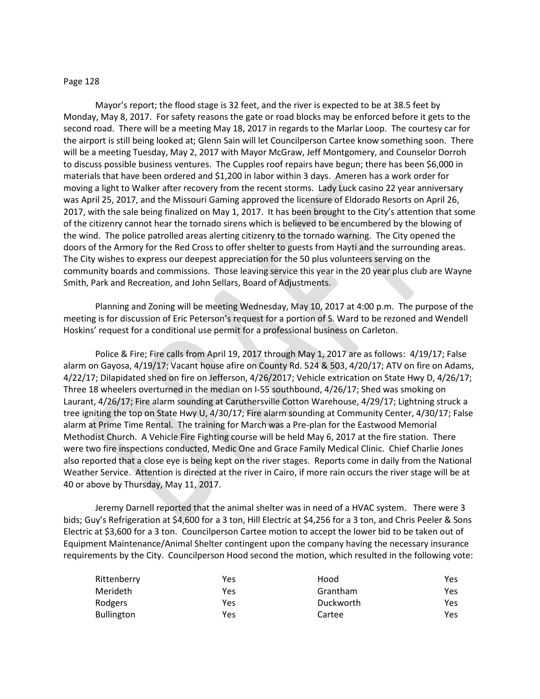## Page 128

Mayor's report; the flood stage is 32 feet, and the river is expected to be at 38.5 feet by Monday, May 8, 2017. For safety reasons the gate or road blocks may be enforced before it gets to the second road. There will be a meeting May 18, 2017 in regards to the Marlar Loop. The courtesy car for the airport is still being looked at; Glenn Sain will let Councilperson Cartee know something soon. There will be a meeting Tuesday, May 2, 2017 with Mayor McGraw, Jeff Montgomery, and Counselor Dorroh to discuss possible business ventures. The Cupples roof repairs have begun; there has been \$6,000 in materials that have been ordered and \$1,200 in labor within 3 days. Ameren has a work order for moving a light to Walker after recovery from the recent storms. Lady Luck casino 22 year anniversary was April 25, 2017, and the Missouri Gaming approved the licensure of Eldorado Resorts on April 26, 2017, with the sale being finalized on May 1, 2017. It has been brought to the City's attention that some of the citizenry cannot hear the tornado sirens which is believed to be encumbered by the blowing of the wind. The police patrolled areas alerting citizenry to the tornado warning. The City opened the doors of the Armory for the Red Cross to offer shelter to guests from Hayti and the surrounding areas. The City wishes to express our deepest appreciation for the 50 plus volunteers serving on the community boards and commissions. Those leaving service this year in the 20 year plus club are Wayne Smith, Park and Recreation, and John Sellars, Board of Adjustments.

Planning and Zoning will be meeting Wednesday, May 10, 2017 at 4:00 p.m. The purpose of the meeting is for discussion of Eric Peterson's request for a portion of S. Ward to be rezoned and Wendell Hoskins' request for a conditional use permit for a professional business on Carleton.

Police & Fire; Fire calls from April 19, 2017 through May 1, 2017 are as follows: 4/19/17; False alarm on Gayosa, 4/19/17; Vacant house afire on County Rd. 524 & 503, 4/20/17; ATV on fire on Adams, 4/22/17; Dilapidated shed on fire on Jefferson, 4/26/2017; Vehicle extrication on State Hwy D, 4/26/17; Three 18 wheelers overturned in the median on I-55 southbound, 4/26/17; Shed was smoking on Laurant, 4/26/17; Fire alarm sounding at Caruthersville Cotton Warehouse, 4/29/17; Lightning struck a tree igniting the top on State Hwy U, 4/30/17; Fire alarm sounding at Community Center, 4/30/17; False alarm at Prime Time Rental. The training for March was a Pre-plan for the Eastwood Memorial Methodist Church. A Vehicle Fire Fighting course will be held May 6, 2017 at the fire station. There were two fire inspections conducted, Medic One and Grace Family Medical Clinic. Chief Charlie Jones also reported that a close eye is being kept on the river stages. Reports come in daily from the National Weather Service. Attention is directed at the river in Cairo, if more rain occurs the river stage will be at 40 or above by Thursday, May 11, 2017.

Jeremy Darnell reported that the animal shelter was in need of a HVAC system. There were 3 bids; Guy's Refrigeration at \$4,600 for a 3 ton, Hill Electric at \$4,256 for a 3 ton, and Chris Peeler & Sons Electric at \$3,600 for a 3 ton. Councilperson Cartee motion to accept the lower bid to be taken out of Equipment Maintenance/Animal Shelter contingent upon the company having the necessary insurance requirements by the City. Councilperson Hood second the motion, which resulted in the following vote:

| Rittenberry       | Yes | Hood      | Yes |
|-------------------|-----|-----------|-----|
| Merideth          | Yes | Grantham  | Yes |
| Rodgers           | Yes | Duckworth | Yes |
| <b>Bullington</b> | Yes | Cartee    | Yes |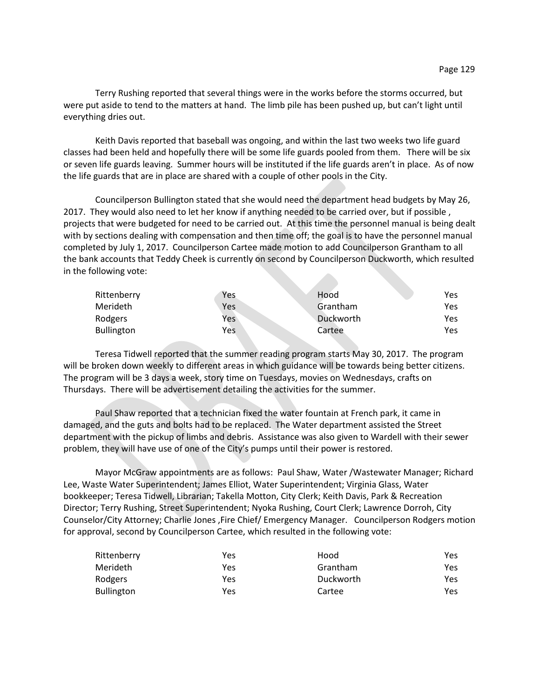Terry Rushing reported that several things were in the works before the storms occurred, but were put aside to tend to the matters at hand. The limb pile has been pushed up, but can't light until everything dries out.

Keith Davis reported that baseball was ongoing, and within the last two weeks two life guard classes had been held and hopefully there will be some life guards pooled from them. There will be six or seven life guards leaving. Summer hours will be instituted if the life guards aren't in place. As of now the life guards that are in place are shared with a couple of other pools in the City.

Councilperson Bullington stated that she would need the department head budgets by May 26, 2017. They would also need to let her know if anything needed to be carried over, but if possible , projects that were budgeted for need to be carried out. At this time the personnel manual is being dealt with by sections dealing with compensation and then time off; the goal is to have the personnel manual completed by July 1, 2017. Councilperson Cartee made motion to add Councilperson Grantham to all the bank accounts that Teddy Cheek is currently on second by Councilperson Duckworth, which resulted in the following vote:

| Rittenberry       | Yes | Hood      | Yes  |
|-------------------|-----|-----------|------|
| Merideth          | Yes | Grantham  | Yes. |
| Rodgers           | Yes | Duckworth | Yes. |
| <b>Bullington</b> | Yes | Cartee    | Yes  |

Teresa Tidwell reported that the summer reading program starts May 30, 2017. The program will be broken down weekly to different areas in which guidance will be towards being better citizens. The program will be 3 days a week, story time on Tuesdays, movies on Wednesdays, crafts on Thursdays. There will be advertisement detailing the activities for the summer.

Paul Shaw reported that a technician fixed the water fountain at French park, it came in damaged, and the guts and bolts had to be replaced. The Water department assisted the Street department with the pickup of limbs and debris. Assistance was also given to Wardell with their sewer problem, they will have use of one of the City's pumps until their power is restored.

Mayor McGraw appointments are as follows: Paul Shaw, Water /Wastewater Manager; Richard Lee, Waste Water Superintendent; James Elliot, Water Superintendent; Virginia Glass, Water bookkeeper; Teresa Tidwell, Librarian; Takella Motton, City Clerk; Keith Davis, Park & Recreation Director; Terry Rushing, Street Superintendent; Nyoka Rushing, Court Clerk; Lawrence Dorroh, City Counselor/City Attorney; Charlie Jones ,Fire Chief/ Emergency Manager. Councilperson Rodgers motion for approval, second by Councilperson Cartee, which resulted in the following vote:

| Rittenberry       | Yes | Hood      | Yes. |
|-------------------|-----|-----------|------|
| Merideth          | Yes | Grantham  | Yes  |
| Rodgers           | Yes | Duckworth | Yes. |
| <b>Bullington</b> | Yes | Cartee    | Yes. |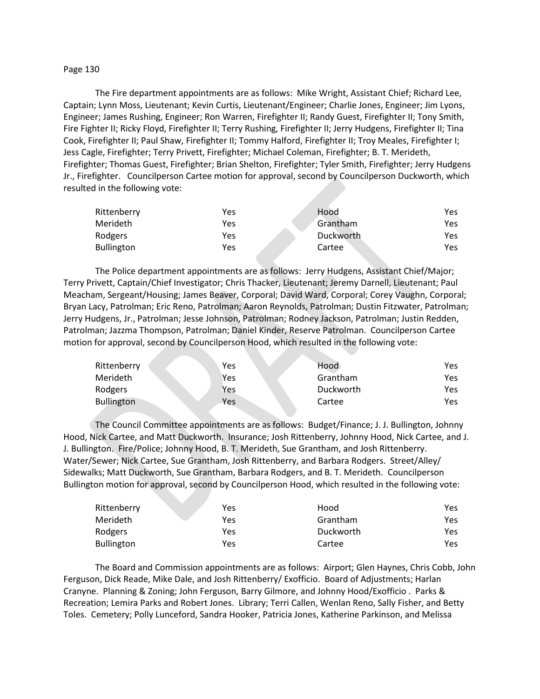## Page 130

The Fire department appointments are as follows: Mike Wright, Assistant Chief; Richard Lee, Captain; Lynn Moss, Lieutenant; Kevin Curtis, Lieutenant/Engineer; Charlie Jones, Engineer; Jim Lyons, Engineer; James Rushing, Engineer; Ron Warren, Firefighter II; Randy Guest, Firefighter II; Tony Smith, Fire Fighter II; Ricky Floyd, Firefighter II; Terry Rushing, Firefighter II; Jerry Hudgens, Firefighter II; Tina Cook, Firefighter II; Paul Shaw, Firefighter II; Tommy Halford, Firefighter II; Troy Meales, Firefighter I; Jess Cagle, Firefighter; Terry Privett, Firefighter; Michael Coleman, Firefighter; B. T. Merideth, Firefighter; Thomas Guest, Firefighter; Brian Shelton, Firefighter; Tyler Smith, Firefighter; Jerry Hudgens Jr., Firefighter. Councilperson Cartee motion for approval, second by Councilperson Duckworth, which resulted in the following vote:

| Rittenberry       | Yes | Hood      | Yes |
|-------------------|-----|-----------|-----|
| <b>Merideth</b>   | Yes | Grantham  | Yes |
| Rodgers           | Yes | Duckworth | Yes |
| <b>Bullington</b> | Yes | Cartee    | Yes |

The Police department appointments are as follows: Jerry Hudgens, Assistant Chief/Major; Terry Privett, Captain/Chief Investigator; Chris Thacker, Lieutenant; Jeremy Darnell, Lieutenant; Paul Meacham, Sergeant/Housing; James Beaver, Corporal; David Ward, Corporal; Corey Vaughn, Corporal; Bryan Lacy, Patrolman; Eric Reno, Patrolman; Aaron Reynolds, Patrolman; Dustin Fitzwater, Patrolman; Jerry Hudgens, Jr., Patrolman; Jesse Johnson, Patrolman; Rodney Jackson, Patrolman; Justin Redden, Patrolman; Jazzma Thompson, Patrolman; Daniel Kinder, Reserve Patrolman. Councilperson Cartee motion for approval, second by Councilperson Hood, which resulted in the following vote:

| Rittenberry       | Yes | Hood      | Yes  |
|-------------------|-----|-----------|------|
| Merideth          | Yes | Grantham  | Yes. |
| Rodgers           | Yes | Duckworth | Yes. |
| <b>Bullington</b> | Yes | Cartee    | Yes. |

The Council Committee appointments are as follows: Budget/Finance; J. J. Bullington, Johnny Hood, Nick Cartee, and Matt Duckworth. Insurance; Josh Rittenberry, Johnny Hood, Nick Cartee, and J. J. Bullington. Fire/Police; Johnny Hood, B. T. Merideth, Sue Grantham, and Josh Rittenberry. Water/Sewer; Nick Cartee, Sue Grantham, Josh Rittenberry, and Barbara Rodgers. Street/Alley/ Sidewalks; Matt Duckworth, Sue Grantham, Barbara Rodgers, and B. T. Merideth. Councilperson Bullington motion for approval, second by Councilperson Hood, which resulted in the following vote:

| Rittenberry       | Yes | Hood      | Yes |
|-------------------|-----|-----------|-----|
| Merideth          | Yes | Grantham  | Yes |
| Rodgers           | Yes | Duckworth | Yes |
| <b>Bullington</b> | Yes | Cartee    | Yes |

The Board and Commission appointments are as follows: Airport; Glen Haynes, Chris Cobb, John Ferguson, Dick Reade, Mike Dale, and Josh Rittenberry/ Exofficio. Board of Adjustments; Harlan Cranyne. Planning & Zoning; John Ferguson, Barry Gilmore, and Johnny Hood/Exofficio . Parks & Recreation; Lemira Parks and Robert Jones. Library; Terri Callen, Wenlan Reno, Sally Fisher, and Betty Toles. Cemetery; Polly Lunceford, Sandra Hooker, Patricia Jones, Katherine Parkinson, and Melissa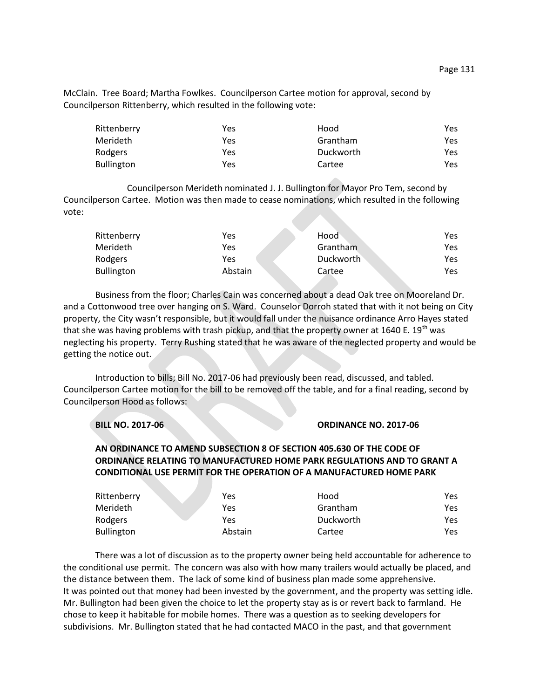McClain. Tree Board; Martha Fowlkes. Councilperson Cartee motion for approval, second by Councilperson Rittenberry, which resulted in the following vote:

| Rittenberry       | Yes | Hood      | Yes. |
|-------------------|-----|-----------|------|
| <b>Merideth</b>   | Yes | Grantham  | Yes. |
| Rodgers           | Yes | Duckworth | Yes. |
| <b>Bullington</b> | Yes | Cartee    | Yes. |

Councilperson Merideth nominated J. J. Bullington for Mayor Pro Tem, second by Councilperson Cartee. Motion was then made to cease nominations, which resulted in the following vote:

| Rittenberry       | Yes     | Hood      | Yes. |
|-------------------|---------|-----------|------|
| Merideth          | Yes     | Grantham  | Yes. |
| Rodgers           | Yes     | Duckworth | Yes. |
| <b>Bullington</b> | Abstain | Cartee    | Yes. |

Business from the floor; Charles Cain was concerned about a dead Oak tree on Mooreland Dr. and a Cottonwood tree over hanging on S. Ward. Counselor Dorroh stated that with it not being on City property, the City wasn't responsible, but it would fall under the nuisance ordinance Arro Hayes stated that she was having problems with trash pickup, and that the property owner at 1640 E. 19<sup>th</sup> was neglecting his property. Terry Rushing stated that he was aware of the neglected property and would be getting the notice out.

Introduction to bills; Bill No. 2017-06 had previously been read, discussed, and tabled. Councilperson Cartee motion for the bill to be removed off the table, and for a final reading, second by Councilperson Hood as follows:

|  | <b>BILL NO. 2017-06</b> |
|--|-------------------------|
|  |                         |

## **BILL NO. 2017-06 ORDINANCE NO. 2017-06**

## **AN ORDINANCE TO AMEND SUBSECTION 8 OF SECTION 405.630 OF THE CODE OF ORDINANCE RELATING TO MANUFACTURED HOME PARK REGULATIONS AND TO GRANT A CONDITIONAL USE PERMIT FOR THE OPERATION OF A MANUFACTURED HOME PARK**

| Rittenberry       | Yes     | Hood      | Yes |
|-------------------|---------|-----------|-----|
| Merideth          | Yes     | Grantham  | Yes |
| Rodgers           | Yes     | Duckworth | Yes |
| <b>Bullington</b> | Abstain | Cartee    | Yes |

There was a lot of discussion as to the property owner being held accountable for adherence to the conditional use permit. The concern was also with how many trailers would actually be placed, and the distance between them. The lack of some kind of business plan made some apprehensive. It was pointed out that money had been invested by the government, and the property was setting idle. Mr. Bullington had been given the choice to let the property stay as is or revert back to farmland. He chose to keep it habitable for mobile homes. There was a question as to seeking developers for subdivisions. Mr. Bullington stated that he had contacted MACO in the past, and that government